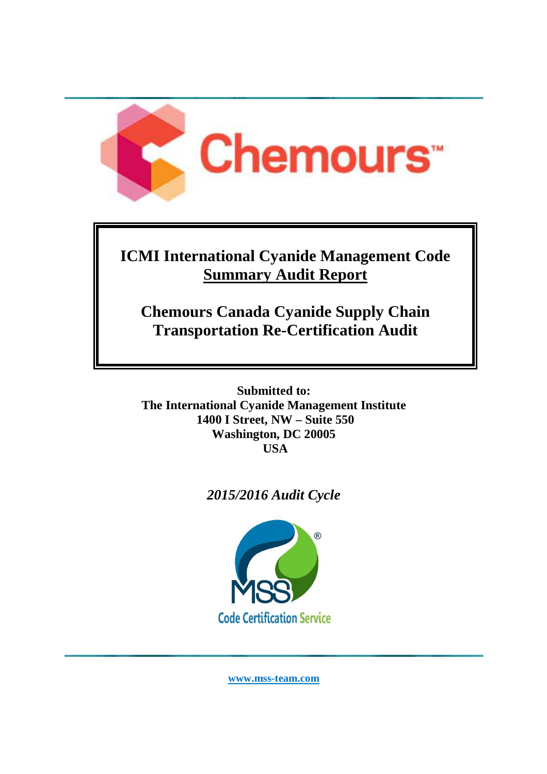

# **ICMI International Cyanide Management Code Summary Audit Report**

# **Chemours Canada Cyanide Supply Chain Transportation Re-Certification Audit**

**Submitted to: The International Cyanide Management Institute 1400 I Street, NW – Suite 550 Washington, DC 20005 USA** 

## *2015/2016 Audit Cycle*



**www.mss-team.com**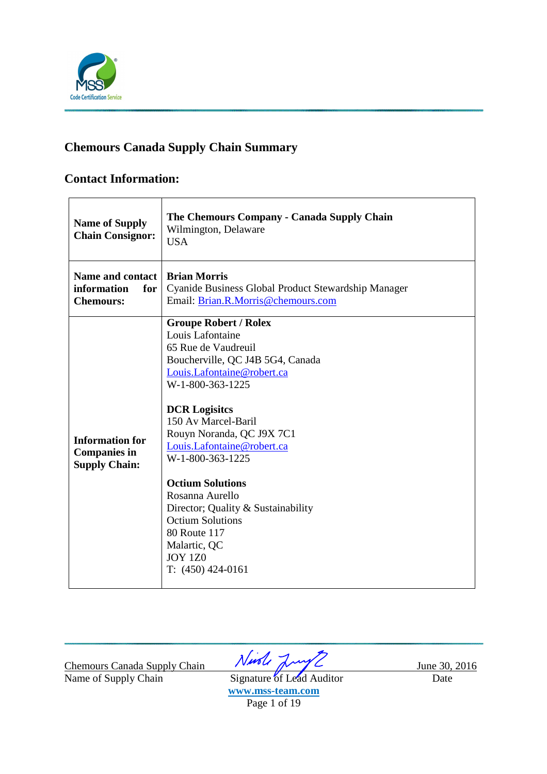

### **Chemours Canada Supply Chain Summary**

### **Contact Information:**

| <b>Name of Supply</b><br><b>Chain Consignor:</b>                      | The Chemours Company - Canada Supply Chain<br>Wilmington, Delaware<br><b>USA</b>                                                                                                                                                                                                                                                                                                                                                                                                      |
|-----------------------------------------------------------------------|---------------------------------------------------------------------------------------------------------------------------------------------------------------------------------------------------------------------------------------------------------------------------------------------------------------------------------------------------------------------------------------------------------------------------------------------------------------------------------------|
| <b>Name and contact</b><br>information<br>for<br><b>Chemours:</b>     | <b>Brian Morris</b><br>Cyanide Business Global Product Stewardship Manager<br>Email: Brian.R.Morris@chemours.com                                                                                                                                                                                                                                                                                                                                                                      |
| <b>Information for</b><br><b>Companies in</b><br><b>Supply Chain:</b> | <b>Groupe Robert / Rolex</b><br>Louis Lafontaine<br>65 Rue de Vaudreuil<br>Boucherville, QC J4B 5G4, Canada<br>Louis.Lafontaine@robert.ca<br>W-1-800-363-1225<br><b>DCR Logisites</b><br>150 Av Marcel-Baril<br>Rouyn Noranda, QC J9X 7C1<br>Louis.Lafontaine@robert.ca<br>W-1-800-363-1225<br><b>Octium Solutions</b><br>Rosanna Aurello<br>Director; Quality & Sustainability<br><b>Octium Solutions</b><br>80 Route 117<br>Malartic, QC<br><b>JOY 1Z0</b><br>$T: (450) 424 - 0161$ |

Chemours Canada Supply Chain  $\sqrt{2\pi}$  June 30, 2016

Name of Supply Chain Signature of Lead Auditor Date **www.mss-team.com**  Page 1 of 19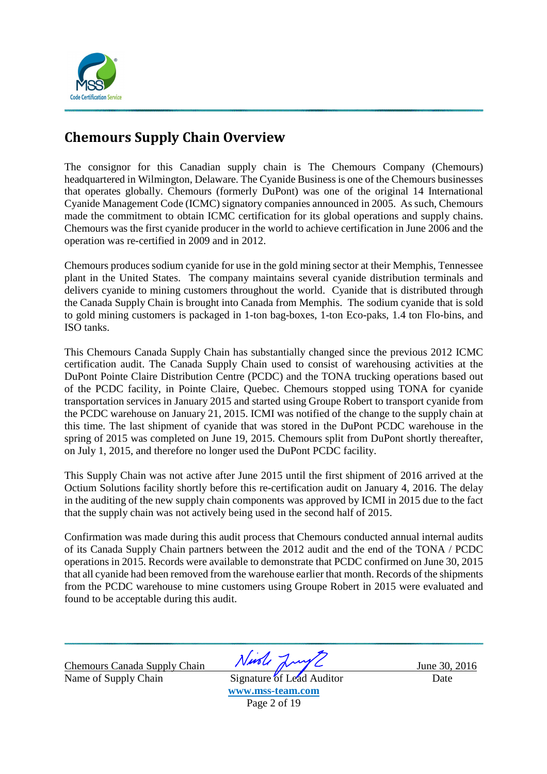

## **Chemours Supply Chain Overview**

The consignor for this Canadian supply chain is The Chemours Company (Chemours) headquartered in Wilmington, Delaware. The Cyanide Business is one of the Chemours businesses that operates globally. Chemours (formerly DuPont) was one of the original 14 International Cyanide Management Code (ICMC) signatory companies announced in 2005. As such, Chemours made the commitment to obtain ICMC certification for its global operations and supply chains. Chemours was the first cyanide producer in the world to achieve certification in June 2006 and the operation was re-certified in 2009 and in 2012.

Chemours produces sodium cyanide for use in the gold mining sector at their Memphis, Tennessee plant in the United States. The company maintains several cyanide distribution terminals and delivers cyanide to mining customers throughout the world. Cyanide that is distributed through the Canada Supply Chain is brought into Canada from Memphis. The sodium cyanide that is sold to gold mining customers is packaged in 1-ton bag-boxes, 1-ton Eco-paks, 1.4 ton Flo-bins, and ISO tanks.

This Chemours Canada Supply Chain has substantially changed since the previous 2012 ICMC certification audit. The Canada Supply Chain used to consist of warehousing activities at the DuPont Pointe Claire Distribution Centre (PCDC) and the TONA trucking operations based out of the PCDC facility, in Pointe Claire, Quebec. Chemours stopped using TONA for cyanide transportation services in January 2015 and started using Groupe Robert to transport cyanide from the PCDC warehouse on January 21, 2015. ICMI was notified of the change to the supply chain at this time. The last shipment of cyanide that was stored in the DuPont PCDC warehouse in the spring of 2015 was completed on June 19, 2015. Chemours split from DuPont shortly thereafter, on July 1, 2015, and therefore no longer used the DuPont PCDC facility.

This Supply Chain was not active after June 2015 until the first shipment of 2016 arrived at the Octium Solutions facility shortly before this re-certification audit on January 4, 2016. The delay in the auditing of the new supply chain components was approved by ICMI in 2015 due to the fact that the supply chain was not actively being used in the second half of 2015.

Confirmation was made during this audit process that Chemours conducted annual internal audits of its Canada Supply Chain partners between the 2012 audit and the end of the TONA / PCDC operations in 2015. Records were available to demonstrate that PCDC confirmed on June 30, 2015 that all cyanide had been removed from the warehouse earlier that month. Records of the shipments from the PCDC warehouse to mine customers using Groupe Robert in 2015 were evaluated and found to be acceptable during this audit.

Name of Supply Chain Signature of Lead Auditor Date

Chemours Canada Supply Chain Ningle June 30, 2016

**www.mss-team.com**  Page 2 of 19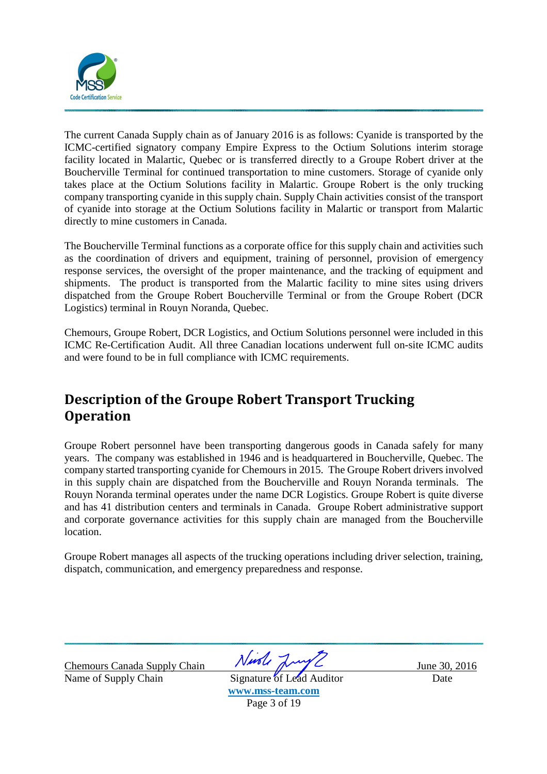

The current Canada Supply chain as of January 2016 is as follows: Cyanide is transported by the ICMC-certified signatory company Empire Express to the Octium Solutions interim storage facility located in Malartic, Quebec or is transferred directly to a Groupe Robert driver at the Boucherville Terminal for continued transportation to mine customers. Storage of cyanide only takes place at the Octium Solutions facility in Malartic. Groupe Robert is the only trucking company transporting cyanide in this supply chain. Supply Chain activities consist of the transport of cyanide into storage at the Octium Solutions facility in Malartic or transport from Malartic directly to mine customers in Canada.

The Boucherville Terminal functions as a corporate office for this supply chain and activities such as the coordination of drivers and equipment, training of personnel, provision of emergency response services, the oversight of the proper maintenance, and the tracking of equipment and shipments. The product is transported from the Malartic facility to mine sites using drivers dispatched from the Groupe Robert Boucherville Terminal or from the Groupe Robert (DCR Logistics) terminal in Rouyn Noranda, Quebec.

Chemours, Groupe Robert, DCR Logistics, and Octium Solutions personnel were included in this ICMC Re-Certification Audit. All three Canadian locations underwent full on-site ICMC audits and were found to be in full compliance with ICMC requirements.

## **Description of the Groupe Robert Transport Trucking Operation**

Groupe Robert personnel have been transporting dangerous goods in Canada safely for many years. The company was established in 1946 and is headquartered in Boucherville, Quebec. The company started transporting cyanide for Chemours in 2015. The Groupe Robert drivers involved in this supply chain are dispatched from the Boucherville and Rouyn Noranda terminals. The Rouyn Noranda terminal operates under the name DCR Logistics. Groupe Robert is quite diverse and has 41 distribution centers and terminals in Canada. Groupe Robert administrative support and corporate governance activities for this supply chain are managed from the Boucherville location.

Groupe Robert manages all aspects of the trucking operations including driver selection, training, dispatch, communication, and emergency preparedness and response.

Chemours Canada Supply Chain Night June 30, 2016 Name of Supply Chain Signature of Lead Auditor Date

**www.mss-team.com**  Page 3 of 19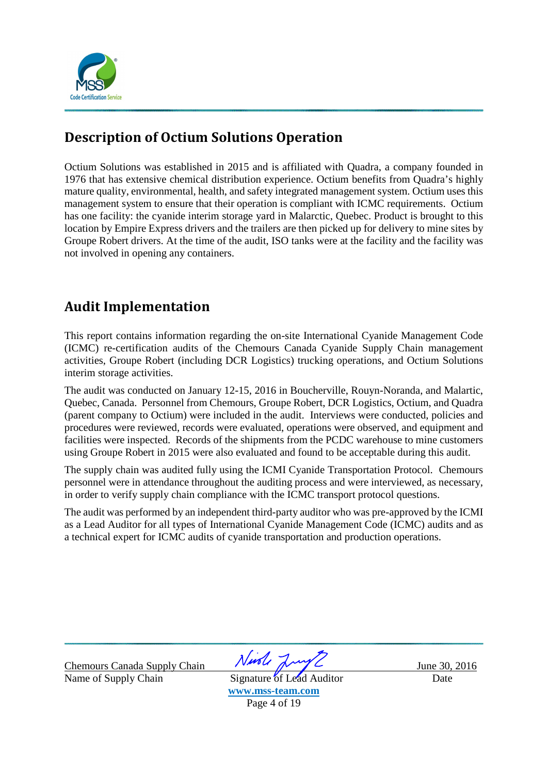

## **Description of Octium Solutions Operation**

Octium Solutions was established in 2015 and is affiliated with Quadra, a company founded in 1976 that has extensive chemical distribution experience. Octium benefits from Quadra's highly mature quality, environmental, health, and safety integrated management system. Octium uses this management system to ensure that their operation is compliant with ICMC requirements. Octium has one facility: the cyanide interim storage yard in Malarctic, Quebec. Product is brought to this location by Empire Express drivers and the trailers are then picked up for delivery to mine sites by Groupe Robert drivers. At the time of the audit, ISO tanks were at the facility and the facility was not involved in opening any containers.

## **Audit Implementation**

This report contains information regarding the on-site International Cyanide Management Code (ICMC) re-certification audits of the Chemours Canada Cyanide Supply Chain management activities, Groupe Robert (including DCR Logistics) trucking operations, and Octium Solutions interim storage activities.

The audit was conducted on January 12-15, 2016 in Boucherville, Rouyn-Noranda, and Malartic, Quebec, Canada. Personnel from Chemours, Groupe Robert, DCR Logistics, Octium, and Quadra (parent company to Octium) were included in the audit. Interviews were conducted, policies and procedures were reviewed, records were evaluated, operations were observed, and equipment and facilities were inspected. Records of the shipments from the PCDC warehouse to mine customers using Groupe Robert in 2015 were also evaluated and found to be acceptable during this audit.

The supply chain was audited fully using the ICMI Cyanide Transportation Protocol. Chemours personnel were in attendance throughout the auditing process and were interviewed, as necessary, in order to verify supply chain compliance with the ICMC transport protocol questions.

The audit was performed by an independent third-party auditor who was pre-approved by the ICMI as a Lead Auditor for all types of International Cyanide Management Code (ICMC) audits and as a technical expert for ICMC audits of cyanide transportation and production operations.

Name of Supply Chain Signature of Lead Auditor Date

Chemours Canada Supply Chain  $N$  Musle  $\frac{2016}{30,2016}$ 

**www.mss-team.com**  Page 4 of 19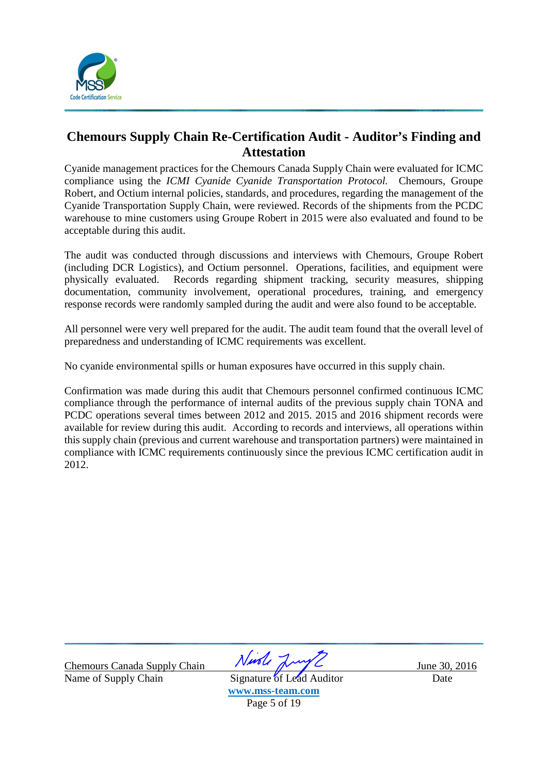

### **Chemours Supply Chain Re-Certification Audit - Auditor's Finding and Attestation**

Cyanide management practices for the Chemours Canada Supply Chain were evaluated for ICMC compliance using the *ICMI Cyanide Cyanide Transportation Protocol.* Chemours, Groupe Robert, and Octium internal policies, standards, and procedures, regarding the management of the Cyanide Transportation Supply Chain, were reviewed. Records of the shipments from the PCDC warehouse to mine customers using Groupe Robert in 2015 were also evaluated and found to be acceptable during this audit.

The audit was conducted through discussions and interviews with Chemours, Groupe Robert (including DCR Logistics), and Octium personnel. Operations, facilities, and equipment were physically evaluated. Records regarding shipment tracking, security measures, shipping documentation, community involvement, operational procedures, training, and emergency response records were randomly sampled during the audit and were also found to be acceptable.

All personnel were very well prepared for the audit. The audit team found that the overall level of preparedness and understanding of ICMC requirements was excellent.

No cyanide environmental spills or human exposures have occurred in this supply chain.

Confirmation was made during this audit that Chemours personnel confirmed continuous ICMC compliance through the performance of internal audits of the previous supply chain TONA and PCDC operations several times between 2012 and 2015. 2015 and 2016 shipment records were available for review during this audit. According to records and interviews, all operations within this supply chain (previous and current warehouse and transportation partners) were maintained in compliance with ICMC requirements continuously since the previous ICMC certification audit in 2012.

Name of Supply Chain Signature of Lead Auditor Date

Chemours Canada Supply Chain Night June 30, 2016

**www.mss-team.com**  Page 5 of 19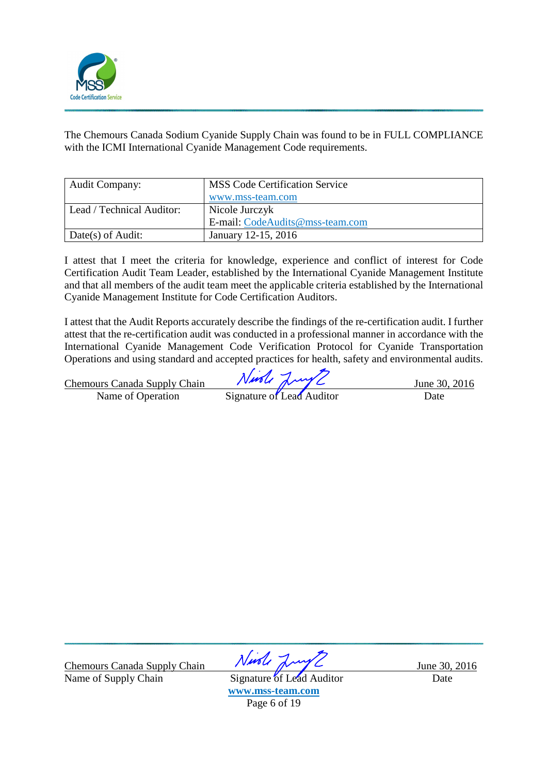

The Chemours Canada Sodium Cyanide Supply Chain was found to be in FULL COMPLIANCE with the ICMI International Cyanide Management Code requirements.

| <b>Audit Company:</b>     | <b>MSS Code Certification Service</b> |
|---------------------------|---------------------------------------|
|                           | www.mss-team.com                      |
| Lead / Technical Auditor: | Nicole Jurczyk                        |
|                           | E-mail: CodeAudits@mss-team.com       |
| Date(s) of Audit:         | January 12-15, 2016                   |

I attest that I meet the criteria for knowledge, experience and conflict of interest for Code Certification Audit Team Leader, established by the International Cyanide Management Institute and that all members of the audit team meet the applicable criteria established by the International Cyanide Management Institute for Code Certification Auditors.

I attest that the Audit Reports accurately describe the findings of the re-certification audit. I further attest that the re-certification audit was conducted in a professional manner in accordance with the International Cyanide Management Code Verification Protocol for Cyanide Transportation Operations and using standard and accepted practices for health, safety and environmental audits.

|                                     | Nuole Lunge               |  |               |
|-------------------------------------|---------------------------|--|---------------|
| <b>Chemours Canada Supply Chain</b> |                           |  | June 30, 2016 |
| Name of Operation                   | Signature of Lead Auditor |  | Date          |

Chemours Canada Supply Chain *Nurole June 20, 2016*<br>Name of Supply Chain Signature of Lead Auditor Date Name of Supply Chain Signature of Lead Auditor Date

**www.mss-team.com**  Page 6 of 19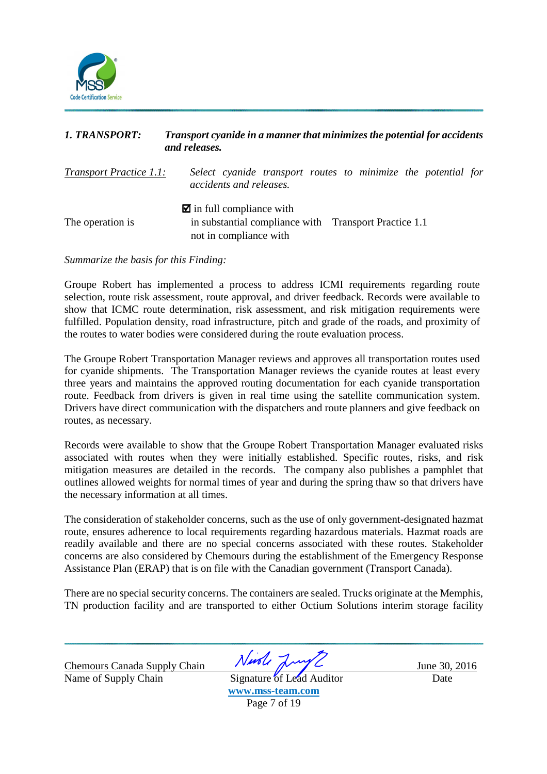

| <b>1. TRANSPORT:</b>           | Transport cyanide in a manner that minimizes the potential for accidents<br>and releases.                                 |
|--------------------------------|---------------------------------------------------------------------------------------------------------------------------|
| <b>Transport Practice 1.1:</b> | Select cyanide transport routes to minimize the potential for<br>accidents and releases.                                  |
| The operation is               | $\blacksquare$ in full compliance with<br>in substantial compliance with Transport Practice 1.1<br>not in compliance with |

#### *Summarize the basis for this Finding:*

Groupe Robert has implemented a process to address ICMI requirements regarding route selection, route risk assessment, route approval, and driver feedback. Records were available to show that ICMC route determination, risk assessment, and risk mitigation requirements were fulfilled. Population density, road infrastructure, pitch and grade of the roads, and proximity of the routes to water bodies were considered during the route evaluation process.

The Groupe Robert Transportation Manager reviews and approves all transportation routes used for cyanide shipments. The Transportation Manager reviews the cyanide routes at least every three years and maintains the approved routing documentation for each cyanide transportation route. Feedback from drivers is given in real time using the satellite communication system. Drivers have direct communication with the dispatchers and route planners and give feedback on routes, as necessary.

Records were available to show that the Groupe Robert Transportation Manager evaluated risks associated with routes when they were initially established. Specific routes, risks, and risk mitigation measures are detailed in the records. The company also publishes a pamphlet that outlines allowed weights for normal times of year and during the spring thaw so that drivers have the necessary information at all times.

The consideration of stakeholder concerns, such as the use of only government-designated hazmat route, ensures adherence to local requirements regarding hazardous materials. Hazmat roads are readily available and there are no special concerns associated with these routes. Stakeholder concerns are also considered by Chemours during the establishment of the Emergency Response Assistance Plan (ERAP) that is on file with the Canadian government (Transport Canada).

There are no special security concerns. The containers are sealed. Trucks originate at the Memphis, TN production facility and are transported to either Octium Solutions interim storage facility

Name of Supply Chain Signature of Lead Auditor Date

Chemours Canada Supply Chain Ningle June 30, 2016

**www.mss-team.com**  Page 7 of 19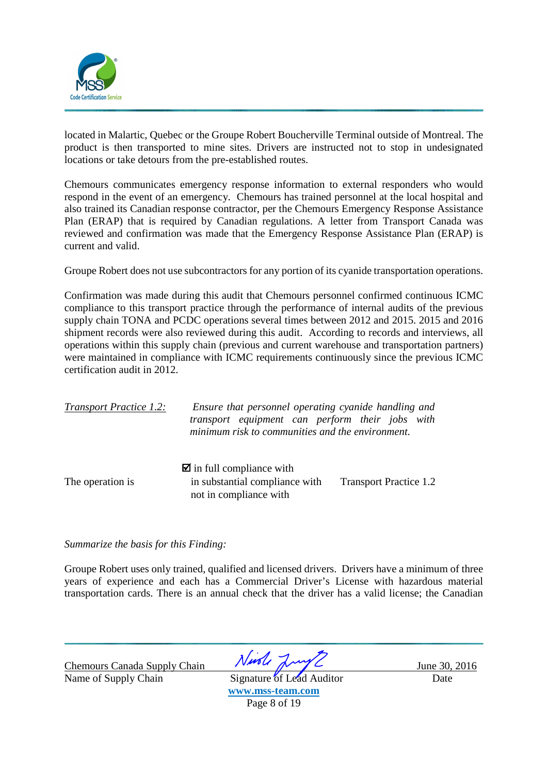

located in Malartic, Quebec or the Groupe Robert Boucherville Terminal outside of Montreal. The product is then transported to mine sites. Drivers are instructed not to stop in undesignated locations or take detours from the pre-established routes.

Chemours communicates emergency response information to external responders who would respond in the event of an emergency. Chemours has trained personnel at the local hospital and also trained its Canadian response contractor, per the Chemours Emergency Response Assistance Plan (ERAP) that is required by Canadian regulations. A letter from Transport Canada was reviewed and confirmation was made that the Emergency Response Assistance Plan (ERAP) is current and valid.

Groupe Robert does not use subcontractors for any portion of its cyanide transportation operations.

Confirmation was made during this audit that Chemours personnel confirmed continuous ICMC compliance to this transport practice through the performance of internal audits of the previous supply chain TONA and PCDC operations several times between 2012 and 2015. 2015 and 2016 shipment records were also reviewed during this audit. According to records and interviews, all operations within this supply chain (previous and current warehouse and transportation partners) were maintained in compliance with ICMC requirements continuously since the previous ICMC certification audit in 2012.

| <b>Transport Practice 1.2:</b> | Ensure that personnel operating cyanide handling and<br>transport equipment can perform their jobs with<br>minimum risk to communities and the environment. |                               |  |
|--------------------------------|-------------------------------------------------------------------------------------------------------------------------------------------------------------|-------------------------------|--|
| The operation is               | $\blacksquare$ in full compliance with<br>in substantial compliance with<br>not in compliance with                                                          | <b>Transport Practice 1.2</b> |  |

*Summarize the basis for this Finding:* 

Groupe Robert uses only trained, qualified and licensed drivers. Drivers have a minimum of three years of experience and each has a Commercial Driver's License with hazardous material transportation cards. There is an annual check that the driver has a valid license; the Canadian

Name of Supply Chain Signature of Lead Auditor Date

Chemours Canada Supply Chain Night June 30, 2016

**www.mss-team.com**  Page 8 of 19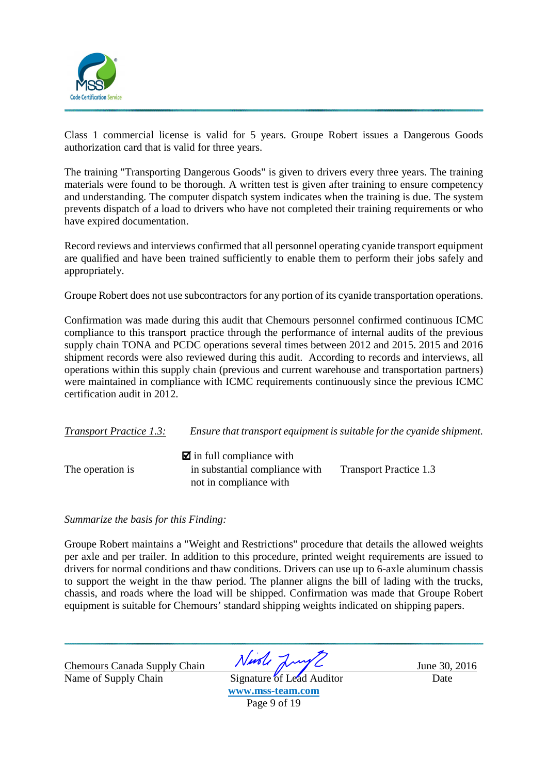

Class 1 commercial license is valid for 5 years. Groupe Robert issues a Dangerous Goods authorization card that is valid for three years.

The training "Transporting Dangerous Goods" is given to drivers every three years. The training materials were found to be thorough. A written test is given after training to ensure competency and understanding. The computer dispatch system indicates when the training is due. The system prevents dispatch of a load to drivers who have not completed their training requirements or who have expired documentation.

Record reviews and interviews confirmed that all personnel operating cyanide transport equipment are qualified and have been trained sufficiently to enable them to perform their jobs safely and appropriately.

Groupe Robert does not use subcontractors for any portion of its cyanide transportation operations.

Confirmation was made during this audit that Chemours personnel confirmed continuous ICMC compliance to this transport practice through the performance of internal audits of the previous supply chain TONA and PCDC operations several times between 2012 and 2015. 2015 and 2016 shipment records were also reviewed during this audit. According to records and interviews, all operations within this supply chain (previous and current warehouse and transportation partners) were maintained in compliance with ICMC requirements continuously since the previous ICMC certification audit in 2012.

| <b>Transport Practice 1.3:</b> |                                                                                                    | Ensure that transport equipment is suitable for the cyanide shipment. |
|--------------------------------|----------------------------------------------------------------------------------------------------|-----------------------------------------------------------------------|
| The operation is               | $\blacksquare$ in full compliance with<br>in substantial compliance with<br>not in compliance with | <b>Transport Practice 1.3</b>                                         |

#### *Summarize the basis for this Finding:*

Groupe Robert maintains a "Weight and Restrictions" procedure that details the allowed weights per axle and per trailer. In addition to this procedure, printed weight requirements are issued to drivers for normal conditions and thaw conditions. Drivers can use up to 6-axle aluminum chassis to support the weight in the thaw period. The planner aligns the bill of lading with the trucks, chassis, and roads where the load will be shipped. Confirmation was made that Groupe Robert equipment is suitable for Chemours' standard shipping weights indicated on shipping papers.

Name of Supply Chain Signature of Lead Auditor Date

Chemours Canada Supply Chain  $N$ *ush*  $\frac{2016}{30,2016}$ 

**www.mss-team.com** 

Page 9 of 19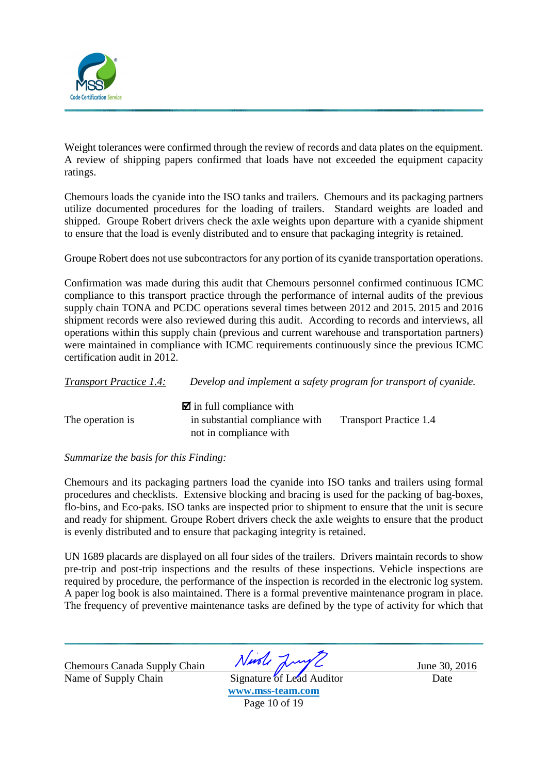

Weight tolerances were confirmed through the review of records and data plates on the equipment. A review of shipping papers confirmed that loads have not exceeded the equipment capacity ratings.

Chemours loads the cyanide into the ISO tanks and trailers. Chemours and its packaging partners utilize documented procedures for the loading of trailers. Standard weights are loaded and shipped. Groupe Robert drivers check the axle weights upon departure with a cyanide shipment to ensure that the load is evenly distributed and to ensure that packaging integrity is retained.

Groupe Robert does not use subcontractors for any portion of its cyanide transportation operations.

Confirmation was made during this audit that Chemours personnel confirmed continuous ICMC compliance to this transport practice through the performance of internal audits of the previous supply chain TONA and PCDC operations several times between 2012 and 2015. 2015 and 2016 shipment records were also reviewed during this audit. According to records and interviews, all operations within this supply chain (previous and current warehouse and transportation partners) were maintained in compliance with ICMC requirements continuously since the previous ICMC certification audit in 2012.

| <b>Transport Practice 1.4:</b> |                                                                                                    | Develop and implement a safety program for transport of cyanide. |
|--------------------------------|----------------------------------------------------------------------------------------------------|------------------------------------------------------------------|
| The operation is               | $\blacksquare$ in full compliance with<br>in substantial compliance with<br>not in compliance with | <b>Transport Practice 1.4</b>                                    |

### *Summarize the basis for this Finding:*

Chemours and its packaging partners load the cyanide into ISO tanks and trailers using formal procedures and checklists. Extensive blocking and bracing is used for the packing of bag-boxes, flo-bins, and Eco-paks. ISO tanks are inspected prior to shipment to ensure that the unit is secure and ready for shipment. Groupe Robert drivers check the axle weights to ensure that the product is evenly distributed and to ensure that packaging integrity is retained.

UN 1689 placards are displayed on all four sides of the trailers. Drivers maintain records to show pre-trip and post-trip inspections and the results of these inspections. Vehicle inspections are required by procedure, the performance of the inspection is recorded in the electronic log system. A paper log book is also maintained. There is a formal preventive maintenance program in place. The frequency of preventive maintenance tasks are defined by the type of activity for which that

Name of Supply Chain Signature of Lead Auditor Date

Chemours Canada Supply Chain  $N$ *ush*  $\frac{2016}{30,2016}$ 

**www.mss-team.com**  Page 10 of 19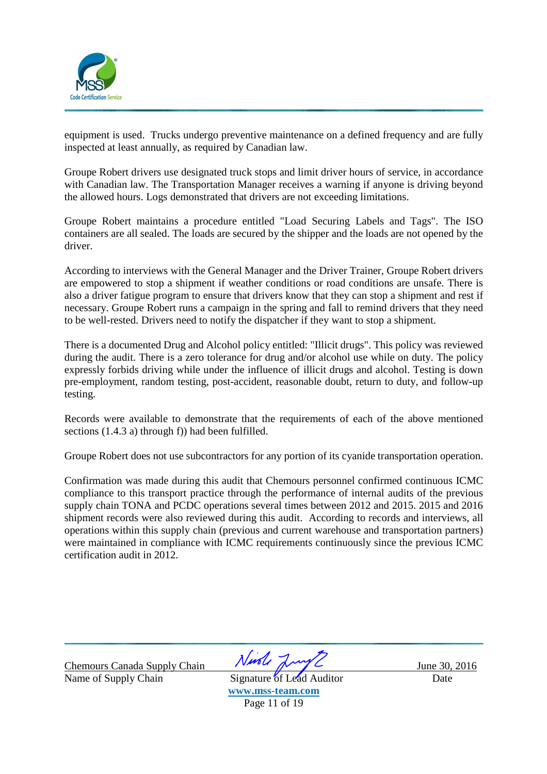

equipment is used. Trucks undergo preventive maintenance on a defined frequency and are fully inspected at least annually, as required by Canadian law.

Groupe Robert drivers use designated truck stops and limit driver hours of service, in accordance with Canadian law. The Transportation Manager receives a warning if anyone is driving beyond the allowed hours. Logs demonstrated that drivers are not exceeding limitations.

Groupe Robert maintains a procedure entitled "Load Securing Labels and Tags". The ISO containers are all sealed. The loads are secured by the shipper and the loads are not opened by the driver.

According to interviews with the General Manager and the Driver Trainer, Groupe Robert drivers are empowered to stop a shipment if weather conditions or road conditions are unsafe. There is also a driver fatigue program to ensure that drivers know that they can stop a shipment and rest if necessary. Groupe Robert runs a campaign in the spring and fall to remind drivers that they need to be well-rested. Drivers need to notify the dispatcher if they want to stop a shipment.

There is a documented Drug and Alcohol policy entitled: "Illicit drugs". This policy was reviewed during the audit. There is a zero tolerance for drug and/or alcohol use while on duty. The policy expressly forbids driving while under the influence of illicit drugs and alcohol. Testing is down pre-employment, random testing, post-accident, reasonable doubt, return to duty, and follow-up testing.

Records were available to demonstrate that the requirements of each of the above mentioned sections (1.4.3 a) through f)) had been fulfilled.

Groupe Robert does not use subcontractors for any portion of its cyanide transportation operation.

Confirmation was made during this audit that Chemours personnel confirmed continuous ICMC compliance to this transport practice through the performance of internal audits of the previous supply chain TONA and PCDC operations several times between 2012 and 2015. 2015 and 2016 shipment records were also reviewed during this audit. According to records and interviews, all operations within this supply chain (previous and current warehouse and transportation partners) were maintained in compliance with ICMC requirements continuously since the previous ICMC certification audit in 2012.

Name of Supply Chain Signature of Lead Auditor Date

Chemours Canada Supply Chain Night June 30, 2016

**www.mss-team.com**  Page 11 of 19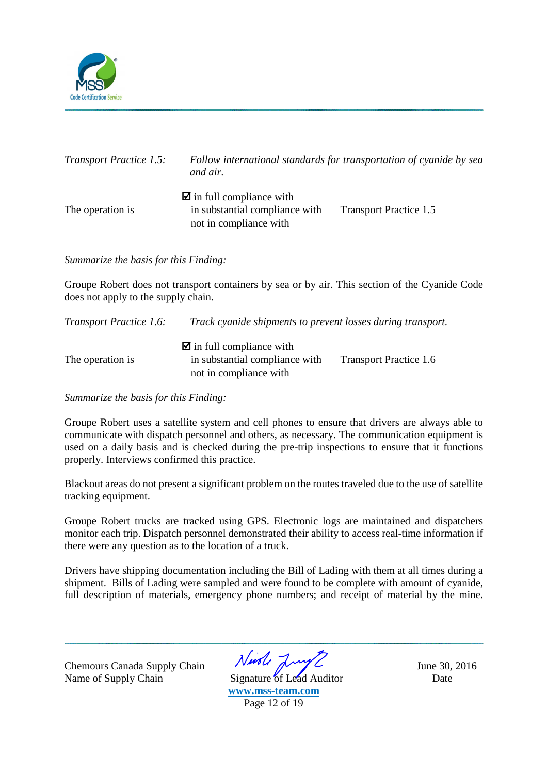

| <b>Transport Practice 1.5:</b> | Follow international standards for transportation of cyanide by sea<br>and air.                    |                               |
|--------------------------------|----------------------------------------------------------------------------------------------------|-------------------------------|
| The operation is               | $\blacksquare$ in full compliance with<br>in substantial compliance with<br>not in compliance with | <b>Transport Practice 1.5</b> |

*Summarize the basis for this Finding:* 

Groupe Robert does not transport containers by sea or by air. This section of the Cyanide Code does not apply to the supply chain.

| <i>Transport Practice 1.6:</i> | <i>Track cyanide shipments to prevent losses during transport.</i>                                 |                               |
|--------------------------------|----------------------------------------------------------------------------------------------------|-------------------------------|
| The operation is               | $\blacksquare$ in full compliance with<br>in substantial compliance with<br>not in compliance with | <b>Transport Practice 1.6</b> |

*Summarize the basis for this Finding:*

Groupe Robert uses a satellite system and cell phones to ensure that drivers are always able to communicate with dispatch personnel and others, as necessary. The communication equipment is used on a daily basis and is checked during the pre-trip inspections to ensure that it functions properly. Interviews confirmed this practice.

Blackout areas do not present a significant problem on the routes traveled due to the use of satellite tracking equipment.

Groupe Robert trucks are tracked using GPS. Electronic logs are maintained and dispatchers monitor each trip. Dispatch personnel demonstrated their ability to access real-time information if there were any question as to the location of a truck.

Drivers have shipping documentation including the Bill of Lading with them at all times during a shipment. Bills of Lading were sampled and were found to be complete with amount of cyanide, full description of materials, emergency phone numbers; and receipt of material by the mine.

Chemours Canada Supply Chain *Nurole June 20, 2016*<br>Name of Supply Chain Signature of Lead Auditor Date

Name of Supply Chain Signature of Lead Auditor Date **www.mss-team.com**  Page 12 of 19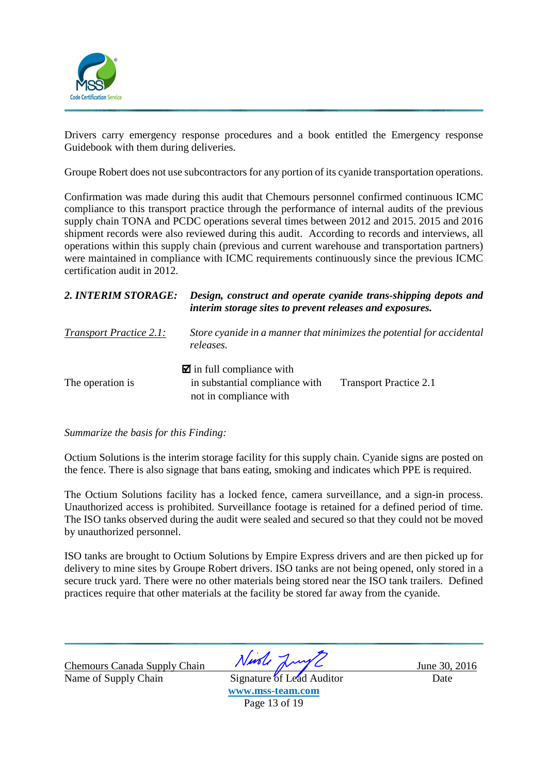

Drivers carry emergency response procedures and a book entitled the Emergency response Guidebook with them during deliveries.

Groupe Robert does not use subcontractors for any portion of its cyanide transportation operations.

Confirmation was made during this audit that Chemours personnel confirmed continuous ICMC compliance to this transport practice through the performance of internal audits of the previous supply chain TONA and PCDC operations several times between 2012 and 2015. 2015 and 2016 shipment records were also reviewed during this audit. According to records and interviews, all operations within this supply chain (previous and current warehouse and transportation partners) were maintained in compliance with ICMC requirements continuously since the previous ICMC certification audit in 2012.

| 2. INTERIM STORAGE:            | Design, construct and operate cyanide trans-shipping depots and<br>interim storage sites to prevent releases and exposures. |                               |  |
|--------------------------------|-----------------------------------------------------------------------------------------------------------------------------|-------------------------------|--|
| <b>Transport Practice 2.1:</b> | Store cyanide in a manner that minimizes the potential for accidental<br>releases.                                          |                               |  |
| The operation is               | $\blacksquare$ in full compliance with<br>in substantial compliance with<br>not in compliance with                          | <b>Transport Practice 2.1</b> |  |

### *Summarize the basis for this Finding:*

Octium Solutions is the interim storage facility for this supply chain. Cyanide signs are posted on the fence. There is also signage that bans eating, smoking and indicates which PPE is required.

The Octium Solutions facility has a locked fence, camera surveillance, and a sign-in process. Unauthorized access is prohibited. Surveillance footage is retained for a defined period of time. The ISO tanks observed during the audit were sealed and secured so that they could not be moved by unauthorized personnel.

ISO tanks are brought to Octium Solutions by Empire Express drivers and are then picked up for delivery to mine sites by Groupe Robert drivers. ISO tanks are not being opened, only stored in a secure truck yard. There were no other materials being stored near the ISO tank trailers. Defined practices require that other materials at the facility be stored far away from the cyanide.

Chemours Canada Supply Chain *Nurole June 20, 2016*<br>Name of Supply Chain Signature of Lead Auditor Date Name of Supply Chain Signature of Lead Auditor Date

**www.mss-team.com**  Page 13 of 19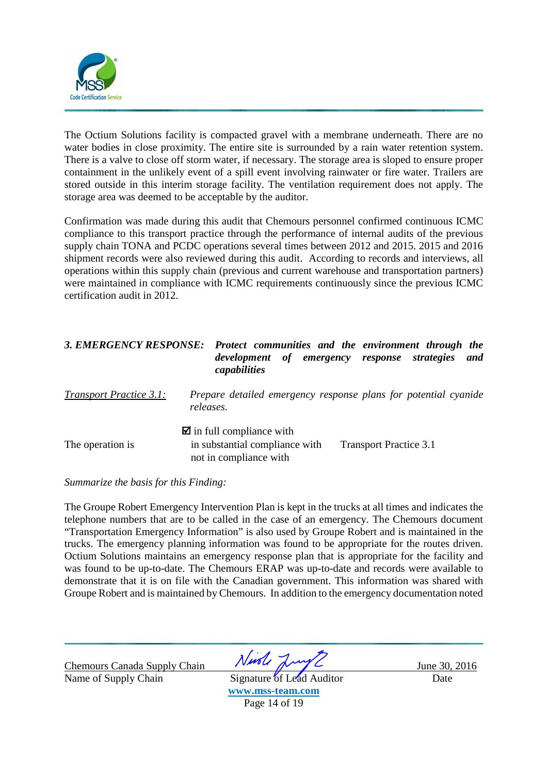

The Octium Solutions facility is compacted gravel with a membrane underneath. There are no water bodies in close proximity. The entire site is surrounded by a rain water retention system. There is a valve to close off storm water, if necessary. The storage area is sloped to ensure proper containment in the unlikely event of a spill event involving rainwater or fire water. Trailers are stored outside in this interim storage facility. The ventilation requirement does not apply. The storage area was deemed to be acceptable by the auditor.

Confirmation was made during this audit that Chemours personnel confirmed continuous ICMC compliance to this transport practice through the performance of internal audits of the previous supply chain TONA and PCDC operations several times between 2012 and 2015. 2015 and 2016 shipment records were also reviewed during this audit. According to records and interviews, all operations within this supply chain (previous and current warehouse and transportation partners) were maintained in compliance with ICMC requirements continuously since the previous ICMC certification audit in 2012.

| <b>3. EMERGENCY RESPONSE:</b>  | Protect communities and the environment through the<br>of emergency response<br>strategies<br>and<br>development<br>capabilities    |
|--------------------------------|-------------------------------------------------------------------------------------------------------------------------------------|
| <b>Transport Practice 3.1:</b> | Prepare detailed emergency response plans for potential cyanide<br>releases.                                                        |
| The operation is               | $\blacksquare$ in full compliance with<br>in substantial compliance with<br><b>Transport Practice 3.1</b><br>not in compliance with |

*Summarize the basis for this Finding:* 

The Groupe Robert Emergency Intervention Plan is kept in the trucks at all times and indicates the telephone numbers that are to be called in the case of an emergency. The Chemours document "Transportation Emergency Information" is also used by Groupe Robert and is maintained in the trucks. The emergency planning information was found to be appropriate for the routes driven. Octium Solutions maintains an emergency response plan that is appropriate for the facility and was found to be up-to-date. The Chemours ERAP was up-to-date and records were available to demonstrate that it is on file with the Canadian government. This information was shared with Groupe Robert and is maintained by Chemours. In addition to the emergency documentation noted

Name of Supply Chain Signature of Lead Auditor Date

Chemours Canada Supply Chain  $N$ *ush*  $\frac{2016}{30,2016}$ 

**www.mss-team.com**  Page 14 of 19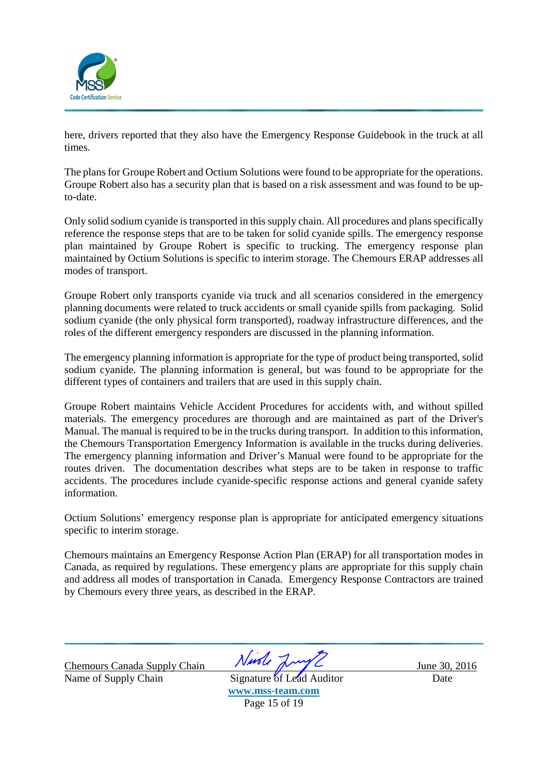

here, drivers reported that they also have the Emergency Response Guidebook in the truck at all times.

The plans for Groupe Robert and Octium Solutions were found to be appropriate for the operations. Groupe Robert also has a security plan that is based on a risk assessment and was found to be upto-date.

Only solid sodium cyanide is transported in this supply chain. All procedures and plans specifically reference the response steps that are to be taken for solid cyanide spills. The emergency response plan maintained by Groupe Robert is specific to trucking. The emergency response plan maintained by Octium Solutions is specific to interim storage. The Chemours ERAP addresses all modes of transport.

Groupe Robert only transports cyanide via truck and all scenarios considered in the emergency planning documents were related to truck accidents or small cyanide spills from packaging. Solid sodium cyanide (the only physical form transported), roadway infrastructure differences, and the roles of the different emergency responders are discussed in the planning information.

The emergency planning information is appropriate for the type of product being transported, solid sodium cyanide. The planning information is general, but was found to be appropriate for the different types of containers and trailers that are used in this supply chain.

Groupe Robert maintains Vehicle Accident Procedures for accidents with, and without spilled materials. The emergency procedures are thorough and are maintained as part of the Driver's Manual. The manual is required to be in the trucks during transport. In addition to this information, the Chemours Transportation Emergency Information is available in the trucks during deliveries. The emergency planning information and Driver's Manual were found to be appropriate for the routes driven. The documentation describes what steps are to be taken in response to traffic accidents. The procedures include cyanide-specific response actions and general cyanide safety information.

Octium Solutions' emergency response plan is appropriate for anticipated emergency situations specific to interim storage.

Chemours maintains an Emergency Response Action Plan (ERAP) for all transportation modes in Canada, as required by regulations. These emergency plans are appropriate for this supply chain and address all modes of transportation in Canada. Emergency Response Contractors are trained by Chemours every three years, as described in the ERAP.

Name of Supply Chain Signature of Lead Auditor Date

Chemours Canada Supply Chain  $Nmbl$   $\sqrt{vol}$  June 30, 2016

**www.mss-team.com**  Page 15 of 19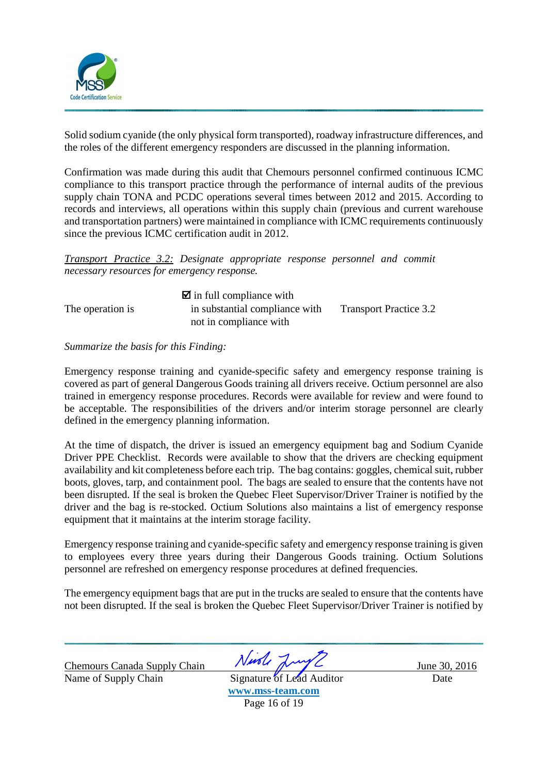

Solid sodium cyanide (the only physical form transported), roadway infrastructure differences, and the roles of the different emergency responders are discussed in the planning information.

Confirmation was made during this audit that Chemours personnel confirmed continuous ICMC compliance to this transport practice through the performance of internal audits of the previous supply chain TONA and PCDC operations several times between 2012 and 2015. According to records and interviews, all operations within this supply chain (previous and current warehouse and transportation partners) were maintained in compliance with ICMC requirements continuously since the previous ICMC certification audit in 2012.

*Transport Practice 3.2: Designate appropriate response personnel and commit necessary resources for emergency response.* 

|                  | $\blacksquare$ in full compliance with |                               |
|------------------|----------------------------------------|-------------------------------|
| The operation is | in substantial compliance with         | <b>Transport Practice 3.2</b> |
|                  | not in compliance with                 |                               |

#### *Summarize the basis for this Finding:*

Emergency response training and cyanide-specific safety and emergency response training is covered as part of general Dangerous Goods training all drivers receive. Octium personnel are also trained in emergency response procedures. Records were available for review and were found to be acceptable. The responsibilities of the drivers and/or interim storage personnel are clearly defined in the emergency planning information.

At the time of dispatch, the driver is issued an emergency equipment bag and Sodium Cyanide Driver PPE Checklist. Records were available to show that the drivers are checking equipment availability and kit completeness before each trip. The bag contains: goggles, chemical suit, rubber boots, gloves, tarp, and containment pool. The bags are sealed to ensure that the contents have not been disrupted. If the seal is broken the Quebec Fleet Supervisor/Driver Trainer is notified by the driver and the bag is re-stocked. Octium Solutions also maintains a list of emergency response equipment that it maintains at the interim storage facility.

Emergency response training and cyanide-specific safety and emergency response training is given to employees every three years during their Dangerous Goods training. Octium Solutions personnel are refreshed on emergency response procedures at defined frequencies.

The emergency equipment bags that are put in the trucks are sealed to ensure that the contents have not been disrupted. If the seal is broken the Quebec Fleet Supervisor/Driver Trainer is notified by

Chemours Canada Supply Chain *Nurole June 20, 2016*<br>Name of Supply Chain Signature of Lead Auditor Date Name of Supply Chain Signature of Lead Auditor Date

**www.mss-team.com**  Page 16 of 19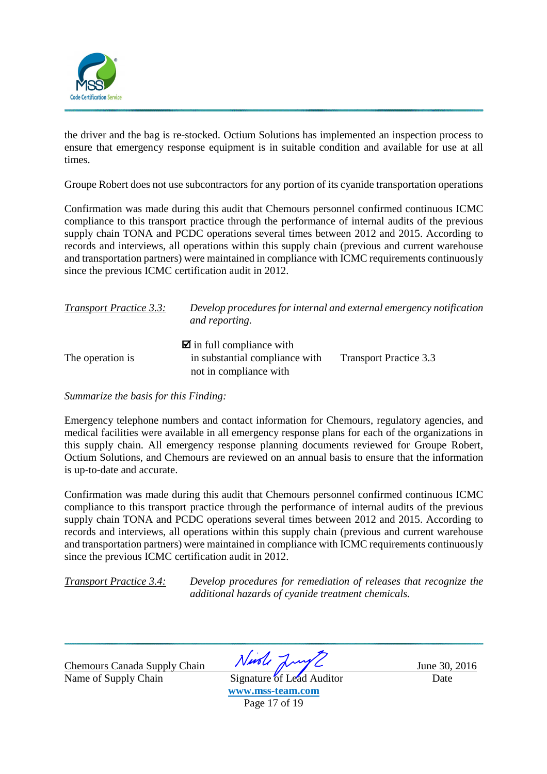

the driver and the bag is re-stocked. Octium Solutions has implemented an inspection process to ensure that emergency response equipment is in suitable condition and available for use at all times.

Groupe Robert does not use subcontractors for any portion of its cyanide transportation operations

Confirmation was made during this audit that Chemours personnel confirmed continuous ICMC compliance to this transport practice through the performance of internal audits of the previous supply chain TONA and PCDC operations several times between 2012 and 2015. According to records and interviews, all operations within this supply chain (previous and current warehouse and transportation partners) were maintained in compliance with ICMC requirements continuously since the previous ICMC certification audit in 2012.

| <b>Transport Practice 3.3:</b> | Develop procedures for internal and external emergency notification<br>and reporting.              |                               |  |  |
|--------------------------------|----------------------------------------------------------------------------------------------------|-------------------------------|--|--|
| The operation is               | $\blacksquare$ in full compliance with<br>in substantial compliance with<br>not in compliance with | <b>Transport Practice 3.3</b> |  |  |

*Summarize the basis for this Finding:* 

Emergency telephone numbers and contact information for Chemours, regulatory agencies, and medical facilities were available in all emergency response plans for each of the organizations in this supply chain. All emergency response planning documents reviewed for Groupe Robert, Octium Solutions, and Chemours are reviewed on an annual basis to ensure that the information is up-to-date and accurate.

Confirmation was made during this audit that Chemours personnel confirmed continuous ICMC compliance to this transport practice through the performance of internal audits of the previous supply chain TONA and PCDC operations several times between 2012 and 2015. According to records and interviews, all operations within this supply chain (previous and current warehouse and transportation partners) were maintained in compliance with ICMC requirements continuously since the previous ICMC certification audit in 2012.

*Transport Practice 3.4: Develop procedures for remediation of releases that recognize the additional hazards of cyanide treatment chemicals.*

Chemours Canada Supply Chain *Nurole June 20, 2016*<br>Name of Supply Chain Signature of Lead Auditor Date

Name of Supply Chain Signature of Lead Auditor Date **www.mss-team.com**  Page 17 of 19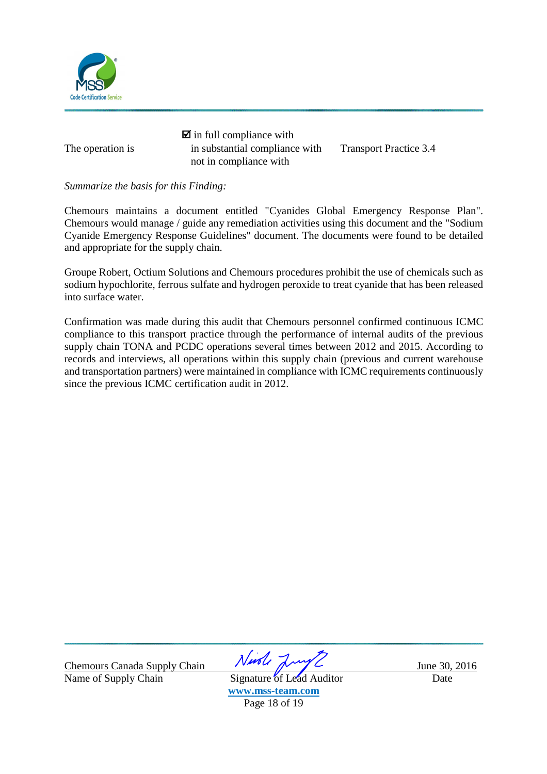

 $\blacksquare$  in full compliance with The operation is in substantial compliance with Transport Practice 3.4 not in compliance with

*Summarize the basis for this Finding:* 

Chemours maintains a document entitled "Cyanides Global Emergency Response Plan". Chemours would manage / guide any remediation activities using this document and the "Sodium Cyanide Emergency Response Guidelines" document. The documents were found to be detailed and appropriate for the supply chain.

Groupe Robert, Octium Solutions and Chemours procedures prohibit the use of chemicals such as sodium hypochlorite, ferrous sulfate and hydrogen peroxide to treat cyanide that has been released into surface water.

Confirmation was made during this audit that Chemours personnel confirmed continuous ICMC compliance to this transport practice through the performance of internal audits of the previous supply chain TONA and PCDC operations several times between 2012 and 2015. According to records and interviews, all operations within this supply chain (previous and current warehouse and transportation partners) were maintained in compliance with ICMC requirements continuously since the previous ICMC certification audit in 2012.

Chemours Canada Supply Chain Ningle June 30, 2016

Name of Supply Chain Signature of Lead Auditor Date **www.mss-team.com**  Page 18 of 19